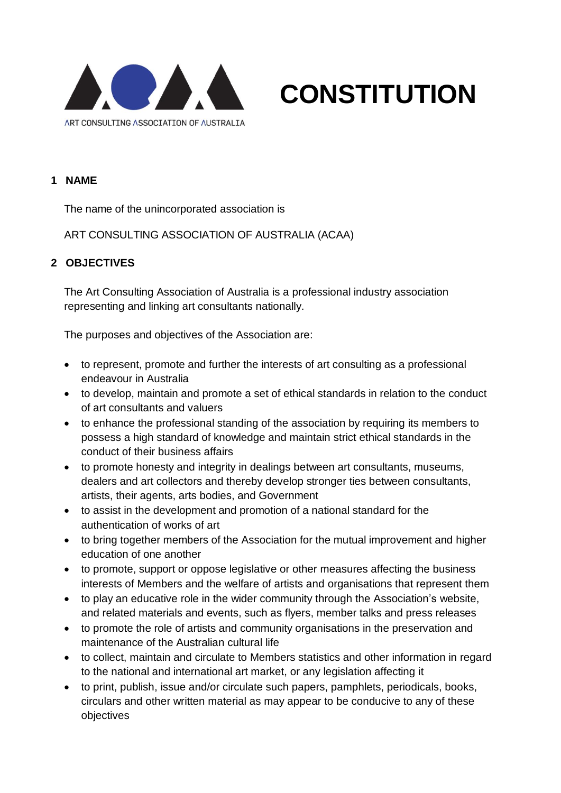

#### **1 NAME**

The name of the unincorporated association is

ART CONSULTING ASSOCIATION OF AUSTRALIA (ACAA)

# **2 OBJECTIVES**

The Art Consulting Association of Australia is a professional industry association representing and linking art consultants nationally.

**CONSTITUTION**

The purposes and objectives of the Association are:

- to represent, promote and further the interests of art consulting as a professional endeavour in Australia
- to develop, maintain and promote a set of ethical standards in relation to the conduct of art consultants and valuers
- to enhance the professional standing of the association by requiring its members to possess a high standard of knowledge and maintain strict ethical standards in the conduct of their business affairs
- to promote honesty and integrity in dealings between art consultants, museums, dealers and art collectors and thereby develop stronger ties between consultants, artists, their agents, arts bodies, and Government
- to assist in the development and promotion of a national standard for the authentication of works of art
- to bring together members of the Association for the mutual improvement and higher education of one another
- to promote, support or oppose legislative or other measures affecting the business interests of Members and the welfare of artists and organisations that represent them
- to play an educative role in the wider community through the Association's website, and related materials and events, such as flyers, member talks and press releases
- to promote the role of artists and community organisations in the preservation and maintenance of the Australian cultural life
- to collect, maintain and circulate to Members statistics and other information in regard to the national and international art market, or any legislation affecting it
- to print, publish, issue and/or circulate such papers, pamphlets, periodicals, books, circulars and other written material as may appear to be conducive to any of these objectives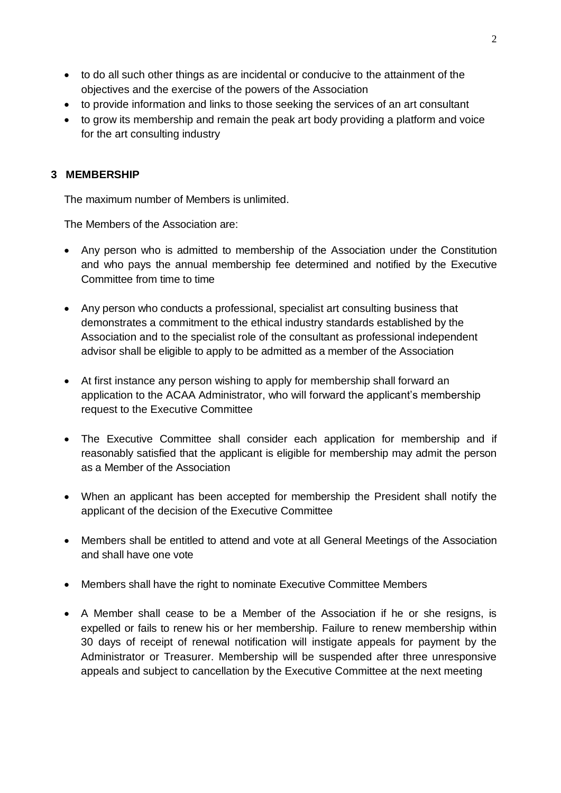- to do all such other things as are incidental or conducive to the attainment of the objectives and the exercise of the powers of the Association
- to provide information and links to those seeking the services of an art consultant
- to grow its membership and remain the peak art body providing a platform and voice for the art consulting industry

## **3 MEMBERSHIP**

The maximum number of Members is unlimited.

The Members of the Association are:

- Any person who is admitted to membership of the Association under the Constitution and who pays the annual membership fee determined and notified by the Executive Committee from time to time
- Any person who conducts a professional, specialist art consulting business that demonstrates a commitment to the ethical industry standards established by the Association and to the specialist role of the consultant as professional independent advisor shall be eligible to apply to be admitted as a member of the Association
- At first instance any person wishing to apply for membership shall forward an application to the ACAA Administrator, who will forward the applicant's membership request to the Executive Committee
- The Executive Committee shall consider each application for membership and if reasonably satisfied that the applicant is eligible for membership may admit the person as a Member of the Association
- When an applicant has been accepted for membership the President shall notify the applicant of the decision of the Executive Committee
- Members shall be entitled to attend and vote at all General Meetings of the Association and shall have one vote
- Members shall have the right to nominate Executive Committee Members
- A Member shall cease to be a Member of the Association if he or she resigns, is expelled or fails to renew his or her membership. Failure to renew membership within 30 days of receipt of renewal notification will instigate appeals for payment by the Administrator or Treasurer. Membership will be suspended after three unresponsive appeals and subject to cancellation by the Executive Committee at the next meeting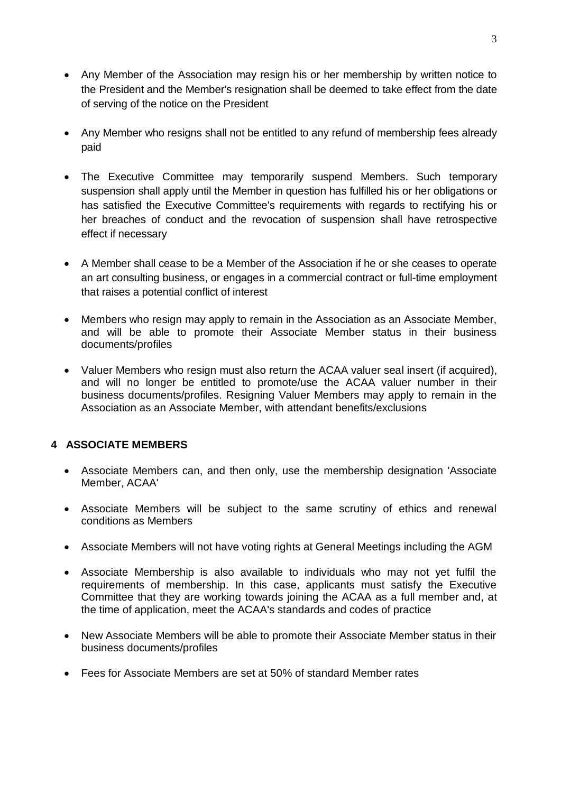- Any Member of the Association may resign his or her membership by written notice to the President and the Member's resignation shall be deemed to take effect from the date of serving of the notice on the President
- Any Member who resigns shall not be entitled to any refund of membership fees already paid
- The Executive Committee may temporarily suspend Members. Such temporary suspension shall apply until the Member in question has fulfilled his or her obligations or has satisfied the Executive Committee's requirements with regards to rectifying his or her breaches of conduct and the revocation of suspension shall have retrospective effect if necessary
- A Member shall cease to be a Member of the Association if he or she ceases to operate an art consulting business, or engages in a commercial contract or full-time employment that raises a potential conflict of interest
- Members who resign may apply to remain in the Association as an Associate Member, and will be able to promote their Associate Member status in their business documents/profiles
- Valuer Members who resign must also return the ACAA valuer seal insert (if acquired), and will no longer be entitled to promote/use the ACAA valuer number in their business documents/profiles. Resigning Valuer Members may apply to remain in the Association as an Associate Member, with attendant benefits/exclusions

## **4 ASSOCIATE MEMBERS**

- Associate Members can, and then only, use the membership designation 'Associate Member, ACAA'
- Associate Members will be subject to the same scrutiny of ethics and renewal conditions as Members
- Associate Members will not have voting rights at General Meetings including the AGM
- Associate Membership is also available to individuals who may not yet fulfil the requirements of membership. In this case, applicants must satisfy the Executive Committee that they are working towards joining the ACAA as a full member and, at the time of application, meet the ACAA's standards and codes of practice
- New Associate Members will be able to promote their Associate Member status in their business documents/profiles
- Fees for Associate Members are set at 50% of standard Member rates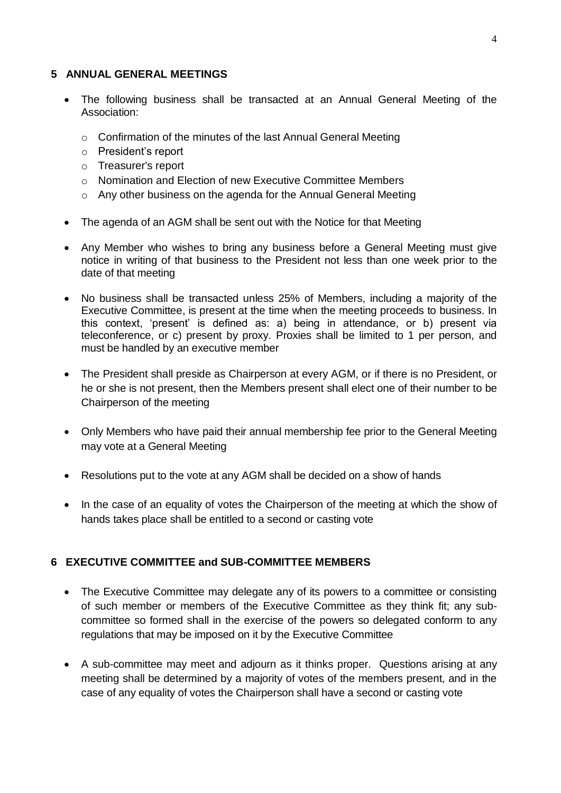#### **5 ANNUAL GENERAL MEETINGS**

- The following business shall be transacted at an Annual General Meeting of the Association:
	- o Confirmation of the minutes of the last Annual General Meeting
	- o President's report
	- o Treasurer's report
	- o Nomination and Election of new Executive Committee Members
	- o Any other business on the agenda for the Annual General Meeting
- The agenda of an AGM shall be sent out with the Notice for that Meeting
- Any Member who wishes to bring any business before a General Meeting must give notice in writing of that business to the President not less than one week prior to the date of that meeting
- No business shall be transacted unless 25% of Members, including a majority of the Executive Committee, is present at the time when the meeting proceeds to business. In this context, 'present' is defined as: a) being in attendance, or b) present via teleconference, or c) present by proxy. Proxies shall be limited to 1 per person, and must be handled by an executive member
- The President shall preside as Chairperson at every AGM, or if there is no President, or he or she is not present, then the Members present shall elect one of their number to be Chairperson of the meeting
- Only Members who have paid their annual membership fee prior to the General Meeting may vote at a General Meeting
- Resolutions put to the vote at any AGM shall be decided on a show of hands
- In the case of an equality of votes the Chairperson of the meeting at which the show of hands takes place shall be entitled to a second or casting vote

## **6 EXECUTIVE COMMITTEE and SUB-COMMITTEE MEMBERS**

- The Executive Committee may delegate any of its powers to a committee or consisting of such member or members of the Executive Committee as they think fit; any subcommittee so formed shall in the exercise of the powers so delegated conform to any regulations that may be imposed on it by the Executive Committee
- A sub-committee may meet and adjourn as it thinks proper. Questions arising at any meeting shall be determined by a majority of votes of the members present, and in the case of any equality of votes the Chairperson shall have a second or casting vote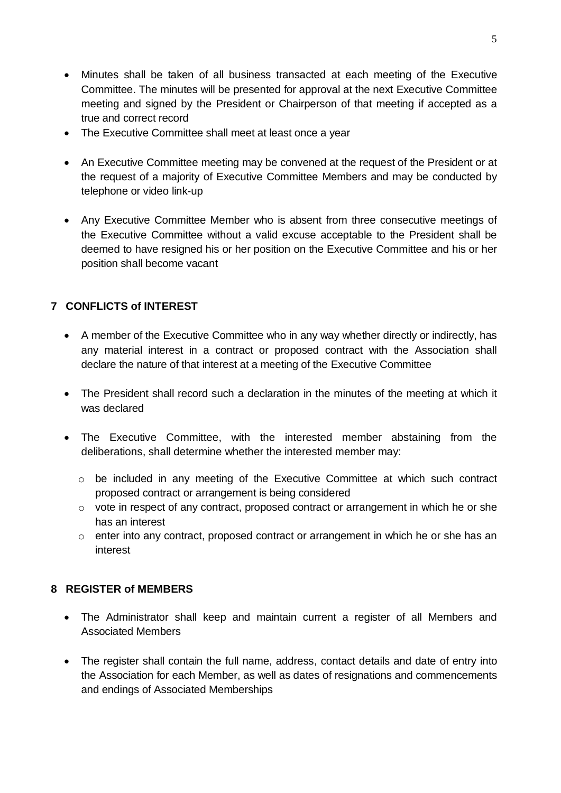- Minutes shall be taken of all business transacted at each meeting of the Executive Committee. The minutes will be presented for approval at the next Executive Committee meeting and signed by the President or Chairperson of that meeting if accepted as a true and correct record
- The Executive Committee shall meet at least once a year
- An Executive Committee meeting may be convened at the request of the President or at the request of a majority of Executive Committee Members and may be conducted by telephone or video link-up
- Any Executive Committee Member who is absent from three consecutive meetings of the Executive Committee without a valid excuse acceptable to the President shall be deemed to have resigned his or her position on the Executive Committee and his or her position shall become vacant

## **7 CONFLICTS of INTEREST**

- A member of the Executive Committee who in any way whether directly or indirectly, has any material interest in a contract or proposed contract with the Association shall declare the nature of that interest at a meeting of the Executive Committee
- The President shall record such a declaration in the minutes of the meeting at which it was declared
- The Executive Committee, with the interested member abstaining from the deliberations, shall determine whether the interested member may:
	- o be included in any meeting of the Executive Committee at which such contract proposed contract or arrangement is being considered
	- o vote in respect of any contract, proposed contract or arrangement in which he or she has an interest
	- $\circ$  enter into any contract, proposed contract or arrangement in which he or she has an interest

## **8 REGISTER of MEMBERS**

- The Administrator shall keep and maintain current a register of all Members and Associated Members
- The register shall contain the full name, address, contact details and date of entry into the Association for each Member, as well as dates of resignations and commencements and endings of Associated Memberships